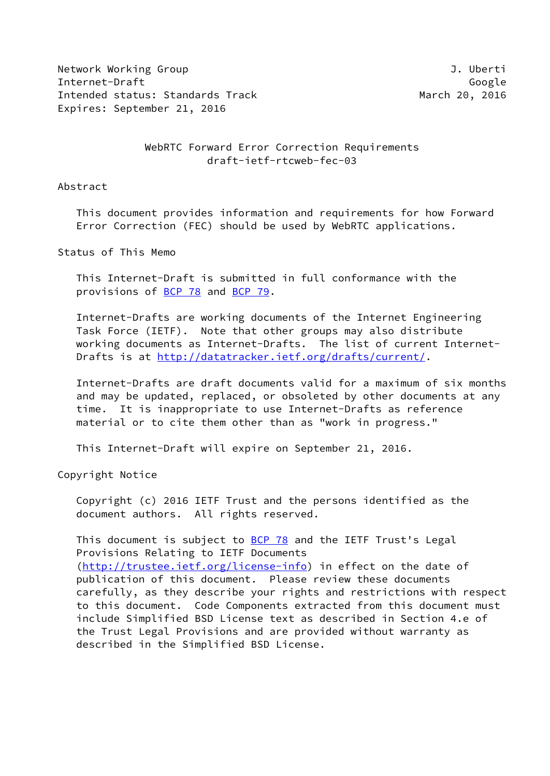Network Working Group **J. Uberti** Internet-Draft Google Intended status: Standards Track March 20, 2016 Expires: September 21, 2016

WebRTC Forward Error Correction Requirements draft-ietf-rtcweb-fec-03

Abstract

 This document provides information and requirements for how Forward Error Correction (FEC) should be used by WebRTC applications.

Status of This Memo

 This Internet-Draft is submitted in full conformance with the provisions of [BCP 78](https://datatracker.ietf.org/doc/pdf/bcp78) and [BCP 79](https://datatracker.ietf.org/doc/pdf/bcp79).

 Internet-Drafts are working documents of the Internet Engineering Task Force (IETF). Note that other groups may also distribute working documents as Internet-Drafts. The list of current Internet- Drafts is at<http://datatracker.ietf.org/drafts/current/>.

 Internet-Drafts are draft documents valid for a maximum of six months and may be updated, replaced, or obsoleted by other documents at any time. It is inappropriate to use Internet-Drafts as reference material or to cite them other than as "work in progress."

This Internet-Draft will expire on September 21, 2016.

Copyright Notice

 Copyright (c) 2016 IETF Trust and the persons identified as the document authors. All rights reserved.

This document is subject to  $BCP$  78 and the IETF Trust's Legal Provisions Relating to IETF Documents [\(http://trustee.ietf.org/license-info](http://trustee.ietf.org/license-info)) in effect on the date of publication of this document. Please review these documents carefully, as they describe your rights and restrictions with respect to this document. Code Components extracted from this document must include Simplified BSD License text as described in Section 4.e of the Trust Legal Provisions and are provided without warranty as described in the Simplified BSD License.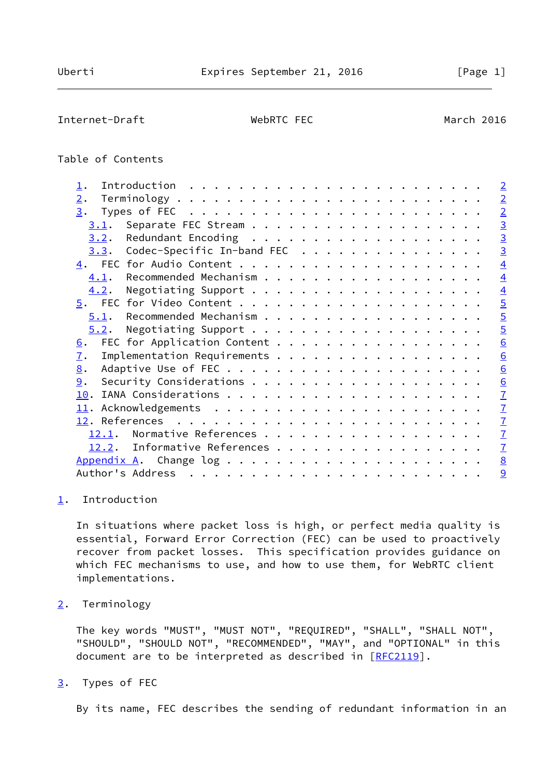<span id="page-1-1"></span>Internet-Draft WebRTC FEC March 2016

# Table of Contents

| $\mathbf{\underline{1}}$ .                | $\overline{2}$  |
|-------------------------------------------|-----------------|
| 2.                                        | $\overline{2}$  |
| 3.                                        | $\overline{2}$  |
| 3.1.                                      | $\overline{3}$  |
| 3.2.                                      | $\overline{3}$  |
| Codec-Specific In-band FEC<br>3.3.        | $\overline{3}$  |
|                                           | $\overline{4}$  |
| 4.1.                                      | $\overline{4}$  |
| 4.2.                                      | $\overline{4}$  |
|                                           | $\overline{5}$  |
| 5.1.                                      | $\overline{5}$  |
| 5.2.                                      | $\overline{5}$  |
| FEC for Application Content<br><u>6</u> . | 6               |
| Implementation Requirements<br>7.         | $\underline{6}$ |
| 8.                                        | 6               |
| 9.                                        | 6               |
|                                           | $\overline{1}$  |
|                                           | $\overline{1}$  |
|                                           | $\overline{1}$  |
| Normative References<br>12.1.             | $\mathbf{Z}$    |
| Informative References<br>12.2.           | $\overline{1}$  |
|                                           | $\underline{8}$ |
|                                           | 9               |
|                                           |                 |

### <span id="page-1-0"></span>[1](#page-1-0). Introduction

 In situations where packet loss is high, or perfect media quality is essential, Forward Error Correction (FEC) can be used to proactively recover from packet losses. This specification provides guidance on which FEC mechanisms to use, and how to use them, for WebRTC client implementations.

<span id="page-1-2"></span>[2](#page-1-2). Terminology

 The key words "MUST", "MUST NOT", "REQUIRED", "SHALL", "SHALL NOT", "SHOULD", "SHOULD NOT", "RECOMMENDED", "MAY", and "OPTIONAL" in this document are to be interpreted as described in [\[RFC2119](https://datatracker.ietf.org/doc/pdf/rfc2119)].

<span id="page-1-3"></span>[3](#page-1-3). Types of FEC

By its name, FEC describes the sending of redundant information in an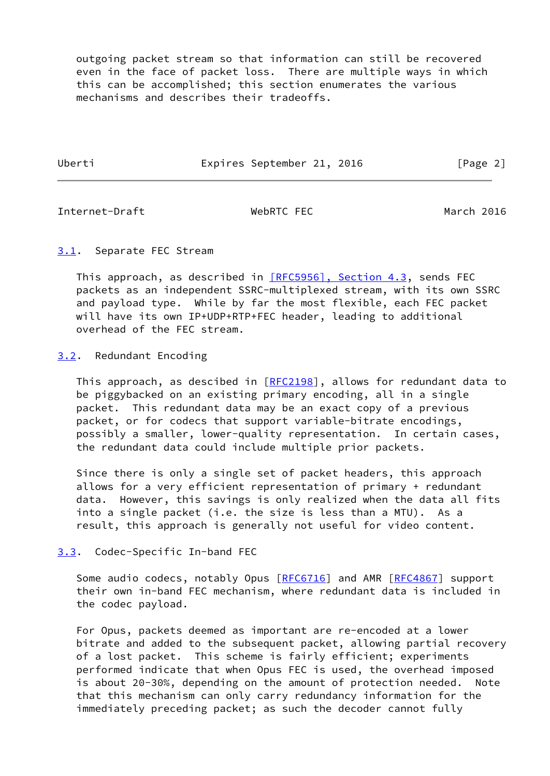outgoing packet stream so that information can still be recovered even in the face of packet loss. There are multiple ways in which this can be accomplished; this section enumerates the various mechanisms and describes their tradeoffs.

Uberti Expires September 21, 2016 [Page 2]

<span id="page-2-1"></span>Internet-Draft WebRTC FEC March 2016

### <span id="page-2-0"></span>[3.1](#page-2-0). Separate FEC Stream

This approach, as described in [\[RFC5956\], Section](https://datatracker.ietf.org/doc/pdf/rfc5956#section-4.3) 4.3, sends FEC packets as an independent SSRC-multiplexed stream, with its own SSRC and payload type. While by far the most flexible, each FEC packet will have its own IP+UDP+RTP+FEC header, leading to additional overhead of the FEC stream.

# <span id="page-2-2"></span>[3.2](#page-2-2). Redundant Encoding

This approach, as descibed in [[RFC2198](https://datatracker.ietf.org/doc/pdf/rfc2198)], allows for redundant data to be piggybacked on an existing primary encoding, all in a single packet. This redundant data may be an exact copy of a previous packet, or for codecs that support variable-bitrate encodings, possibly a smaller, lower-quality representation. In certain cases, the redundant data could include multiple prior packets.

 Since there is only a single set of packet headers, this approach allows for a very efficient representation of primary + redundant data. However, this savings is only realized when the data all fits into a single packet (i.e. the size is less than a MTU). As a result, this approach is generally not useful for video content.

## <span id="page-2-3"></span>[3.3](#page-2-3). Codec-Specific In-band FEC

Some audio codecs, notably Opus [\[RFC6716](https://datatracker.ietf.org/doc/pdf/rfc6716)] and AMR [[RFC4867](https://datatracker.ietf.org/doc/pdf/rfc4867)] support their own in-band FEC mechanism, where redundant data is included in the codec payload.

 For Opus, packets deemed as important are re-encoded at a lower bitrate and added to the subsequent packet, allowing partial recovery of a lost packet. This scheme is fairly efficient; experiments performed indicate that when Opus FEC is used, the overhead imposed is about 20-30%, depending on the amount of protection needed. Note that this mechanism can only carry redundancy information for the immediately preceding packet; as such the decoder cannot fully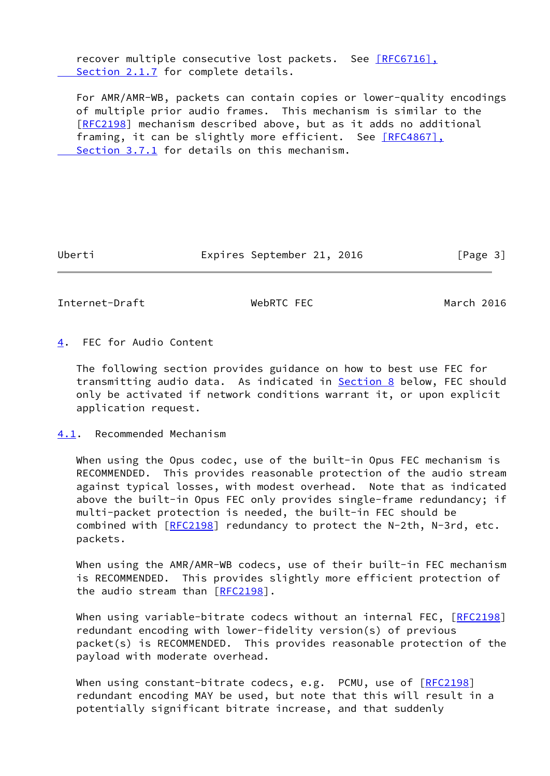recover multiple consecutive lost packets. See [\[RFC6716\],](https://datatracker.ietf.org/doc/pdf/rfc6716#section-2.1.7) Section 2.1.7 for complete details.

 For AMR/AMR-WB, packets can contain copies or lower-quality encodings of multiple prior audio frames. This mechanism is similar to the [\[RFC2198](https://datatracker.ietf.org/doc/pdf/rfc2198)] mechanism described above, but as it adds no additional framing, it can be slightly more efficient. See [\[RFC4867\],](https://datatracker.ietf.org/doc/pdf/rfc4867#section-3.7.1)  [Section](https://datatracker.ietf.org/doc/pdf/rfc4867#section-3.7.1) 3.7.1 for details on this mechanism.

Uberti **Expires September 21, 2016** [Page 3]

<span id="page-3-1"></span>Internet-Draft WebRTC FEC March 2016

<span id="page-3-0"></span>[4](#page-3-0). FEC for Audio Content

 The following section provides guidance on how to best use FEC for transmitting audio data. As indicated in **Section 8** below, FEC should only be activated if network conditions warrant it, or upon explicit application request.

<span id="page-3-2"></span>[4.1](#page-3-2). Recommended Mechanism

When using the Opus codec, use of the built-in Opus FEC mechanism is RECOMMENDED. This provides reasonable protection of the audio stream against typical losses, with modest overhead. Note that as indicated above the built-in Opus FEC only provides single-frame redundancy; if multi-packet protection is needed, the built-in FEC should be combined with [[RFC2198](https://datatracker.ietf.org/doc/pdf/rfc2198)] redundancy to protect the N-2th, N-3rd, etc. packets.

When using the AMR/AMR-WB codecs, use of their built-in FEC mechanism is RECOMMENDED. This provides slightly more efficient protection of the audio stream than  $[REC2198]$ .

When using variable-bitrate codecs without an internal FEC, [\[RFC2198](https://datatracker.ietf.org/doc/pdf/rfc2198)] redundant encoding with lower-fidelity version(s) of previous packet(s) is RECOMMENDED. This provides reasonable protection of the payload with moderate overhead.

When using constant-bitrate codecs, e.g. PCMU, use of [\[RFC2198](https://datatracker.ietf.org/doc/pdf/rfc2198)] redundant encoding MAY be used, but note that this will result in a potentially significant bitrate increase, and that suddenly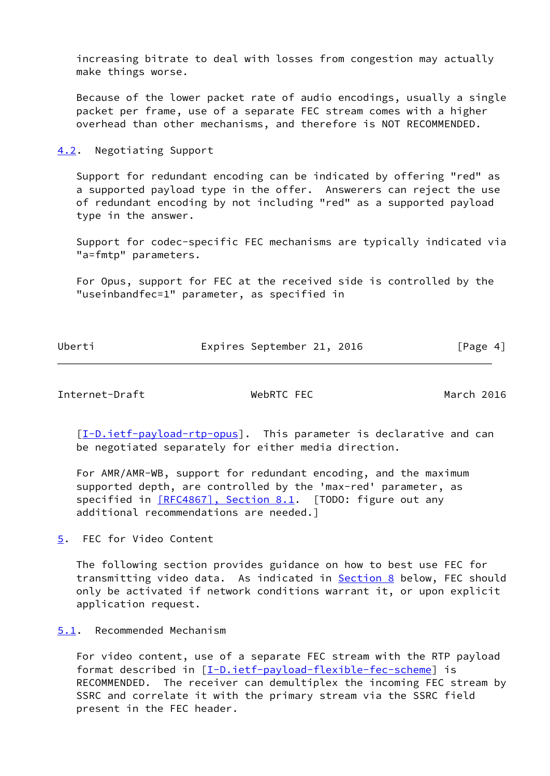increasing bitrate to deal with losses from congestion may actually make things worse.

 Because of the lower packet rate of audio encodings, usually a single packet per frame, use of a separate FEC stream comes with a higher overhead than other mechanisms, and therefore is NOT RECOMMENDED.

<span id="page-4-0"></span>[4.2](#page-4-0). Negotiating Support

 Support for redundant encoding can be indicated by offering "red" as a supported payload type in the offer. Answerers can reject the use of redundant encoding by not including "red" as a supported payload type in the answer.

 Support for codec-specific FEC mechanisms are typically indicated via "a=fmtp" parameters.

 For Opus, support for FEC at the received side is controlled by the "useinbandfec=1" parameter, as specified in

Uberti **Expires September 21, 2016** [Page 4]

<span id="page-4-2"></span>Internet-Draft WebRTC FEC March 2016

[\[I-D.ietf-payload-rtp-opus](#page-7-4)]. This parameter is declarative and can be negotiated separately for either media direction.

 For AMR/AMR-WB, support for redundant encoding, and the maximum supported depth, are controlled by the 'max-red' parameter, as specified in [\[RFC4867\], Section](https://datatracker.ietf.org/doc/pdf/rfc4867#section-8.1) 8.1. [TODO: figure out any additional recommendations are needed.]

<span id="page-4-1"></span>[5](#page-4-1). FEC for Video Content

 The following section provides guidance on how to best use FEC for transmitting video data. As indicated in **Section 8** below, FEC should only be activated if network conditions warrant it, or upon explicit application request.

<span id="page-4-3"></span>[5.1](#page-4-3). Recommended Mechanism

 For video content, use of a separate FEC stream with the RTP payload format described in [\[I-D.ietf-payload-flexible-fec-scheme](#page-7-5)] is RECOMMENDED. The receiver can demultiplex the incoming FEC stream by SSRC and correlate it with the primary stream via the SSRC field present in the FEC header.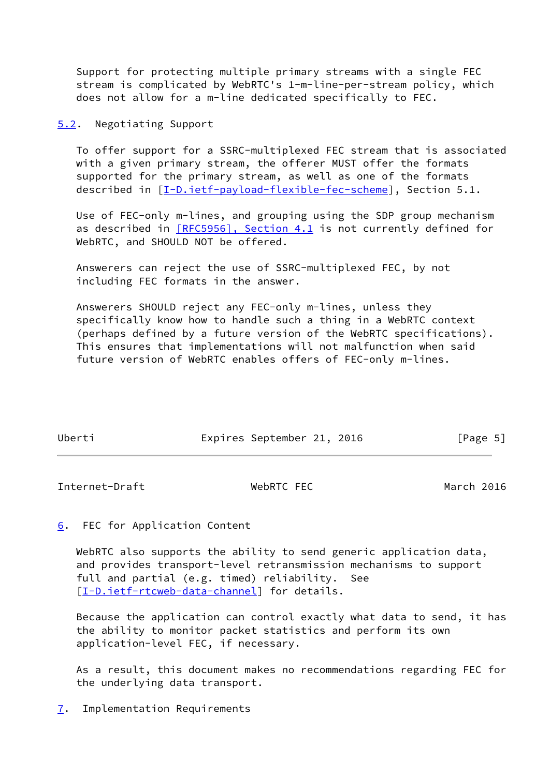Support for protecting multiple primary streams with a single FEC stream is complicated by WebRTC's 1-m-line-per-stream policy, which does not allow for a m-line dedicated specifically to FEC.

<span id="page-5-0"></span>[5.2](#page-5-0). Negotiating Support

 To offer support for a SSRC-multiplexed FEC stream that is associated with a given primary stream, the offerer MUST offer the formats supported for the primary stream, as well as one of the formats described in  $[I-D.iett-payload-flexible-free-scheme]$ , Section 5.1.

 Use of FEC-only m-lines, and grouping using the SDP group mechanism as described in  $[REC5956]$ , Section 4.1 is not currently defined for WebRTC, and SHOULD NOT be offered.

 Answerers can reject the use of SSRC-multiplexed FEC, by not including FEC formats in the answer.

 Answerers SHOULD reject any FEC-only m-lines, unless they specifically know how to handle such a thing in a WebRTC context (perhaps defined by a future version of the WebRTC specifications). This ensures that implementations will not malfunction when said future version of WebRTC enables offers of FEC-only m-lines.

| Uberti | Expires September 21, 2016 |  | [Page 5] |
|--------|----------------------------|--|----------|

<span id="page-5-2"></span>Internet-Draft WebRTC FEC March 2016

<span id="page-5-1"></span>[6](#page-5-1). FEC for Application Content

 WebRTC also supports the ability to send generic application data, and provides transport-level retransmission mechanisms to support full and partial (e.g. timed) reliability. See [\[I-D.ietf-rtcweb-data-channel](#page-7-6)] for details.

 Because the application can control exactly what data to send, it has the ability to monitor packet statistics and perform its own application-level FEC, if necessary.

 As a result, this document makes no recommendations regarding FEC for the underlying data transport.

<span id="page-5-3"></span>[7](#page-5-3). Implementation Requirements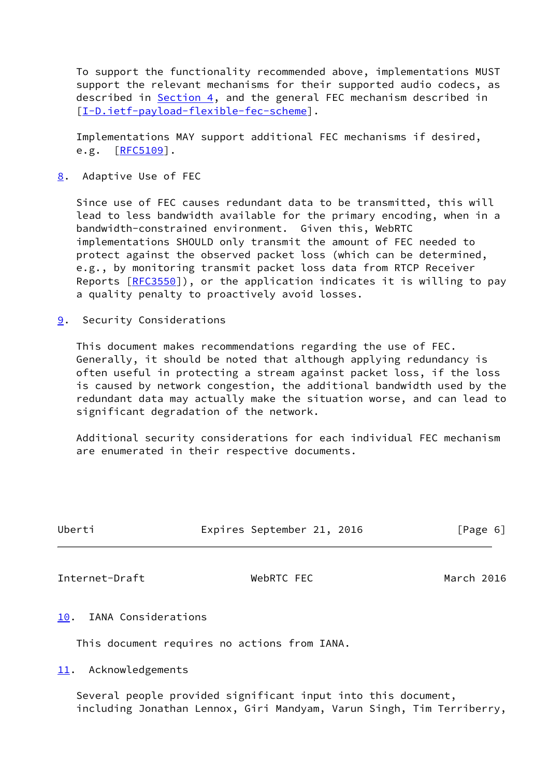To support the functionality recommended above, implementations MUST support the relevant mechanisms for their supported audio codecs, as described in [Section 4](#page-3-0), and the general FEC mechanism described in [\[I-D.ietf-payload-flexible-fec-scheme](#page-7-5)].

 Implementations MAY support additional FEC mechanisms if desired, e.g.  $[REC5109]$ .

<span id="page-6-0"></span>[8](#page-6-0). Adaptive Use of FEC

 Since use of FEC causes redundant data to be transmitted, this will lead to less bandwidth available for the primary encoding, when in a bandwidth-constrained environment. Given this, WebRTC implementations SHOULD only transmit the amount of FEC needed to protect against the observed packet loss (which can be determined, e.g., by monitoring transmit packet loss data from RTCP Receiver Reports  $[REC3550]$ , or the application indicates it is willing to pay a quality penalty to proactively avoid losses.

<span id="page-6-1"></span>[9](#page-6-1). Security Considerations

 This document makes recommendations regarding the use of FEC. Generally, it should be noted that although applying redundancy is often useful in protecting a stream against packet loss, if the loss is caused by network congestion, the additional bandwidth used by the redundant data may actually make the situation worse, and can lead to significant degradation of the network.

 Additional security considerations for each individual FEC mechanism are enumerated in their respective documents.

<span id="page-6-3"></span>

| Uberti                     | Expires September 21, 2016 | [Page 6]   |
|----------------------------|----------------------------|------------|
| Internet-Draft             | WebRTC FEC                 | March 2016 |
| IANA Considerations<br>10. |                            |            |

<span id="page-6-2"></span>This document requires no actions from IANA.

<span id="page-6-4"></span>[11.](#page-6-4) Acknowledgements

 Several people provided significant input into this document, including Jonathan Lennox, Giri Mandyam, Varun Singh, Tim Terriberry,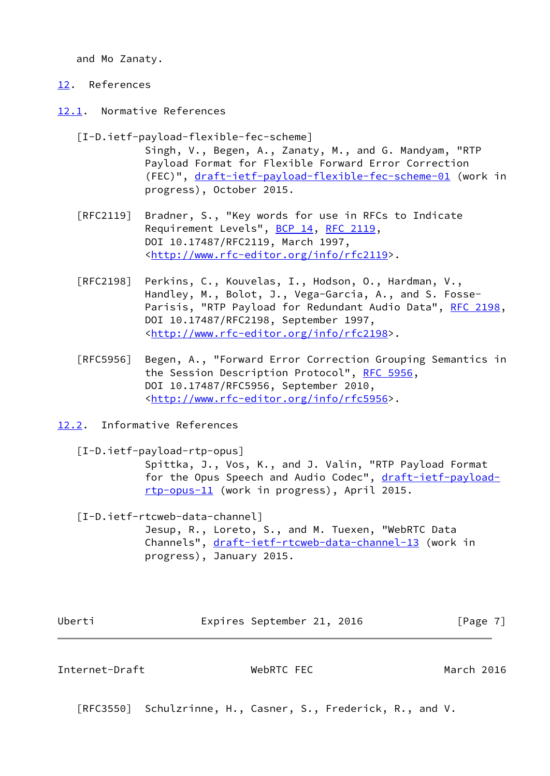and Mo Zanaty.

## <span id="page-7-0"></span>[12.](#page-7-0) References

<span id="page-7-1"></span>[12.1](#page-7-1). Normative References

<span id="page-7-5"></span> [I-D.ietf-payload-flexible-fec-scheme] Singh, V., Begen, A., Zanaty, M., and G. Mandyam, "RTP Payload Format for Flexible Forward Error Correction (FEC)", [draft-ietf-payload-flexible-fec-scheme-01](https://datatracker.ietf.org/doc/pdf/draft-ietf-payload-flexible-fec-scheme-01) (work in progress), October 2015.

- [RFC2119] Bradner, S., "Key words for use in RFCs to Indicate Requirement Levels", [BCP 14](https://datatracker.ietf.org/doc/pdf/bcp14), [RFC 2119](https://datatracker.ietf.org/doc/pdf/rfc2119), DOI 10.17487/RFC2119, March 1997, <<http://www.rfc-editor.org/info/rfc2119>>.
- [RFC2198] Perkins, C., Kouvelas, I., Hodson, O., Hardman, V., Handley, M., Bolot, J., Vega-Garcia, A., and S. Fosse- Parisis, "RTP Payload for Redundant Audio Data", [RFC 2198,](https://datatracker.ietf.org/doc/pdf/rfc2198) DOI 10.17487/RFC2198, September 1997, <<http://www.rfc-editor.org/info/rfc2198>>.
- [RFC5956] Begen, A., "Forward Error Correction Grouping Semantics in the Session Description Protocol", [RFC 5956](https://datatracker.ietf.org/doc/pdf/rfc5956), DOI 10.17487/RFC5956, September 2010, <<http://www.rfc-editor.org/info/rfc5956>>.
- <span id="page-7-2"></span>[12.2](#page-7-2). Informative References

<span id="page-7-4"></span>[I-D.ietf-payload-rtp-opus]

 Spittka, J., Vos, K., and J. Valin, "RTP Payload Format for the Opus Speech and Audio Codec", [draft-ietf-payload](https://datatracker.ietf.org/doc/pdf/draft-ietf-payload-rtp-opus-11) [rtp-opus-11](https://datatracker.ietf.org/doc/pdf/draft-ietf-payload-rtp-opus-11) (work in progress), April 2015.

<span id="page-7-6"></span>[I-D.ietf-rtcweb-data-channel]

 Jesup, R., Loreto, S., and M. Tuexen, "WebRTC Data Channels", [draft-ietf-rtcweb-data-channel-13](https://datatracker.ietf.org/doc/pdf/draft-ietf-rtcweb-data-channel-13) (work in progress), January 2015.

| Uber |  |
|------|--|
|      |  |

Expires September 21, 2016 [Page 7]

<span id="page-7-3"></span>Internet-Draft WebRTC FEC March 2016

[RFC3550] Schulzrinne, H., Casner, S., Frederick, R., and V.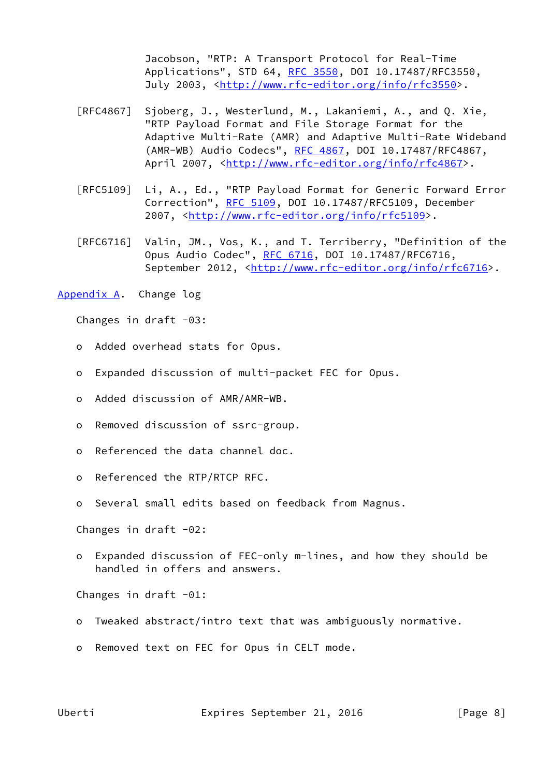Jacobson, "RTP: A Transport Protocol for Real-Time Applications", STD 64, [RFC 3550](https://datatracker.ietf.org/doc/pdf/rfc3550), DOI 10.17487/RFC3550, July 2003, <<http://www.rfc-editor.org/info/rfc3550>>.

- [RFC4867] Sjoberg, J., Westerlund, M., Lakaniemi, A., and Q. Xie, "RTP Payload Format and File Storage Format for the Adaptive Multi-Rate (AMR) and Adaptive Multi-Rate Wideband (AMR-WB) Audio Codecs", [RFC 4867,](https://datatracker.ietf.org/doc/pdf/rfc4867) DOI 10.17487/RFC4867, April 2007, [<http://www.rfc-editor.org/info/rfc4867](http://www.rfc-editor.org/info/rfc4867)>.
- [RFC5109] Li, A., Ed., "RTP Payload Format for Generic Forward Error Correction", [RFC 5109](https://datatracker.ietf.org/doc/pdf/rfc5109), DOI 10.17487/RFC5109, December 2007, [<http://www.rfc-editor.org/info/rfc5109](http://www.rfc-editor.org/info/rfc5109)>.
- [RFC6716] Valin, JM., Vos, K., and T. Terriberry, "Definition of the Opus Audio Codec", [RFC 6716](https://datatracker.ietf.org/doc/pdf/rfc6716), DOI 10.17487/RFC6716, September 2012, <<http://www.rfc-editor.org/info/rfc6716>>.
- <span id="page-8-0"></span>[Appendix A.](#page-8-0) Change log

Changes in draft  $-03$ :

- o Added overhead stats for Opus.
- o Expanded discussion of multi-packet FEC for Opus.
- o Added discussion of AMR/AMR-WB.
- o Removed discussion of ssrc-group.
- o Referenced the data channel doc.
- o Referenced the RTP/RTCP RFC.
- o Several small edits based on feedback from Magnus.

Changes in draft  $-02$ :

 o Expanded discussion of FEC-only m-lines, and how they should be handled in offers and answers.

Changes in draft -01:

- o Tweaked abstract/intro text that was ambiguously normative.
- o Removed text on FEC for Opus in CELT mode.